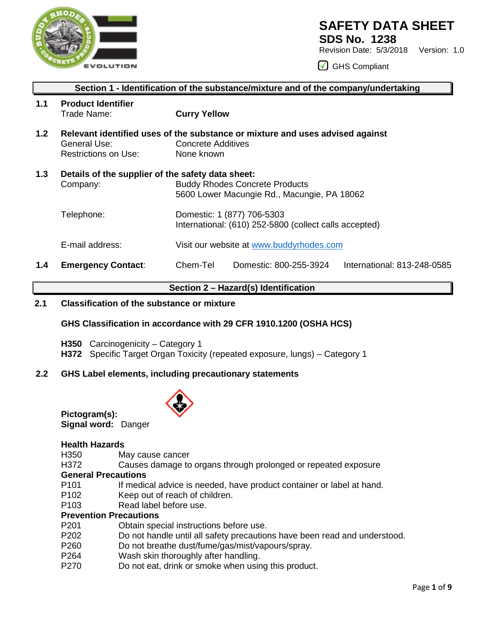

## **SAFETY DATA SHEET**

**SDS No. 1238**

Revision Date: 5/3/2018 Version: 1.0

GHS Compliant

|                  | Section 1 - Identification of the substance/mixture and of the company/undertaking |                                                                                                                                  |                        |                             |  |  |
|------------------|------------------------------------------------------------------------------------|----------------------------------------------------------------------------------------------------------------------------------|------------------------|-----------------------------|--|--|
| 1.1              | <b>Product Identifier</b><br>Trade Name:                                           | <b>Curry Yellow</b>                                                                                                              |                        |                             |  |  |
| 1.2 <sub>2</sub> | General Use:<br><b>Restrictions on Use:</b>                                        | Relevant identified uses of the substance or mixture and uses advised against<br><b>Concrete Additives</b><br>None known         |                        |                             |  |  |
| 1.3              | Details of the supplier of the safety data sheet:<br>Company:                      | <b>Buddy Rhodes Concrete Products</b><br>5600 Lower Macungie Rd., Macungie, PA 18062                                             |                        |                             |  |  |
|                  | Telephone:                                                                         | Domestic: 1 (877) 706-5303<br>International: (610) 252-5800 (collect calls accepted)<br>Visit our website at www.buddyrhodes.com |                        |                             |  |  |
|                  | E-mail address:                                                                    |                                                                                                                                  |                        |                             |  |  |
| 1.4              | <b>Emergency Contact:</b>                                                          | Chem-Tel                                                                                                                         | Domestic: 800-255-3924 | International: 813-248-0585 |  |  |

## **Section 2 – Hazard(s) Identification**

## **2.1 Classification of the substance or mixture**

## **GHS Classification in accordance with 29 CFR 1910.1200 (OSHA HCS)**

- **H350** Carcinogenicity Category 1
- **H372** Specific Target Organ Toxicity (repeated exposure, lungs) Category 1

## **2.2 GHS Label elements, including precautionary statements**



**Pictogram(s): Signal word:** Danger

## **Health Hazards**

May cause cancer

H372 Causes damage to organs through prolonged or repeated exposure

## **General Precautions**

- P101 If medical advice is needed, have product container or label at hand.<br>P102 Keep out of reach of children.
- P102 Keep out of reach of children.<br>P103 Read label before use.
- Read label before use.

## **Prevention Precautions**

- P201 Obtain special instructions before use.
- P202 Do not handle until all safety precautions have been read and understood.
- P260 Do not breathe dust/fume/gas/mist/vapours/spray.
- P264 Wash skin thoroughly after handling.<br>P270 Do not eat. drink or smoke when usin
- Do not eat, drink or smoke when using this product.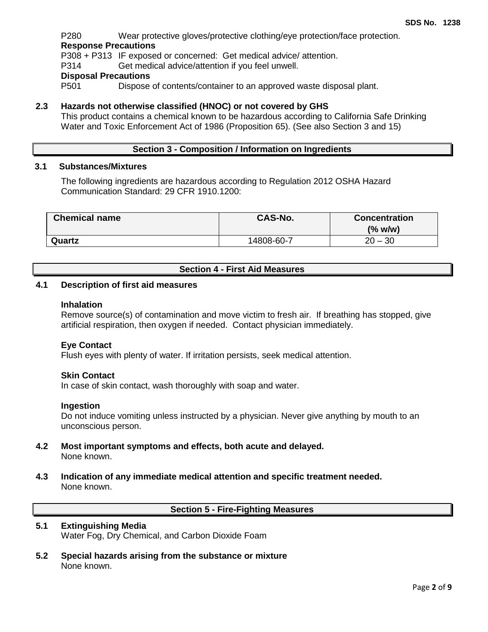P280 Wear protective gloves/protective clothing/eye protection/face protection. **Response Precautions**

P308 + P313 IF exposed or concerned: Get medical advice/ attention.

P314 Get medical advice/attention if you feel unwell.

# **Disposal Precautions**

Dispose of contents/container to an approved waste disposal plant.

## **2.3 Hazards not otherwise classified (HNOC) or not covered by GHS**

This product contains a chemical known to be hazardous according to California Safe Drinking Water and Toxic Enforcement Act of 1986 (Proposition 65). (See also Section 3 and 15)

## **Section 3 - Composition / Information on Ingredients**

## **3.1 Substances/Mixtures**

The following ingredients are hazardous according to Regulation 2012 OSHA Hazard Communication Standard: 29 CFR 1910.1200:

| <b>Chemical name</b> | <b>CAS-No.</b> | <b>Concentration</b> |
|----------------------|----------------|----------------------|
|                      |                | $(\%$ w/w)           |
| Quartz               | 14808-60-7     | $20 - 30$            |

## **Section 4 - First Aid Measures**

#### **4.1 Description of first aid measures**

#### **Inhalation**

Remove source(s) of contamination and move victim to fresh air. If breathing has stopped, give artificial respiration, then oxygen if needed. Contact physician immediately.

## **Eye Contact**

Flush eyes with plenty of water. If irritation persists, seek medical attention.

#### **Skin Contact**

In case of skin contact, wash thoroughly with soap and water.

#### **Ingestion**

Do not induce vomiting unless instructed by a physician. Never give anything by mouth to an unconscious person.

- **4.2 Most important symptoms and effects, both acute and delayed.** None known.
- **4.3 Indication of any immediate medical attention and specific treatment needed.** None known.

## **Section 5 - Fire-Fighting Measures**

#### **5.1 Extinguishing Media** Water Fog, Dry Chemical, and Carbon Dioxide Foam

**5.2 Special hazards arising from the substance or mixture** None known.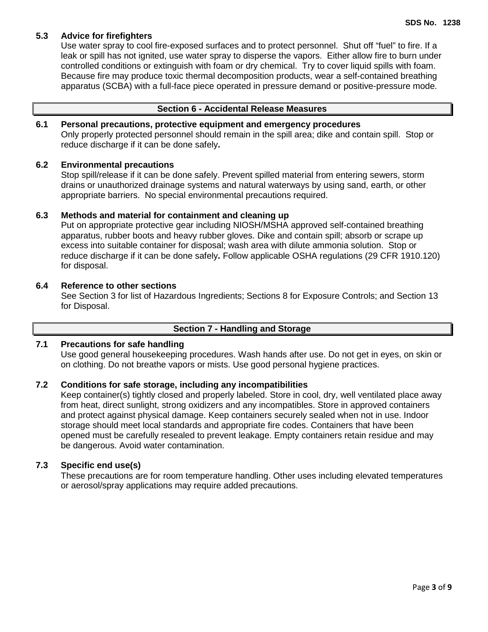## **5.3 Advice for firefighters**

Use water spray to cool fire-exposed surfaces and to protect personnel. Shut off "fuel" to fire. If a leak or spill has not ignited, use water spray to disperse the vapors. Either allow fire to burn under controlled conditions or extinguish with foam or dry chemical. Try to cover liquid spills with foam. Because fire may produce toxic thermal decomposition products, wear a self-contained breathing apparatus (SCBA) with a full-face piece operated in pressure demand or positive-pressure mode.

## **Section 6 - Accidental Release Measures**

## **6.1 Personal precautions, protective equipment and emergency procedures**

Only properly protected personnel should remain in the spill area; dike and contain spill. Stop or reduce discharge if it can be done safely**.**

## **6.2 Environmental precautions**

Stop spill/release if it can be done safely. Prevent spilled material from entering sewers, storm drains or unauthorized drainage systems and natural waterways by using sand, earth, or other appropriate barriers.No special environmental precautions required.

## **6.3 Methods and material for containment and cleaning up**

Put on appropriate protective gear including NIOSH/MSHA approved self-contained breathing apparatus, rubber boots and heavy rubber gloves. Dike and contain spill; absorb or scrape up excess into suitable container for disposal; wash area with dilute ammonia solution. Stop or reduce discharge if it can be done safely**.** Follow applicable OSHA regulations (29 CFR 1910.120) for disposal.

## **6.4 Reference to other sections**

See Section 3 for list of Hazardous Ingredients; Sections 8 for Exposure Controls; and Section 13 for Disposal.

## **Section 7 - Handling and Storage**

## **7.1 Precautions for safe handling**

Use good general housekeeping procedures. Wash hands after use. Do not get in eyes, on skin or on clothing. Do not breathe vapors or mists. Use good personal hygiene practices.

#### **7.2 Conditions for safe storage, including any incompatibilities**

Keep container(s) tightly closed and properly labeled. Store in cool, dry, well ventilated place away from heat, direct sunlight, strong oxidizers and any incompatibles. Store in approved containers and protect against physical damage. Keep containers securely sealed when not in use. Indoor storage should meet local standards and appropriate fire codes. Containers that have been opened must be carefully resealed to prevent leakage. Empty containers retain residue and may be dangerous. Avoid water contamination.

## **7.3 Specific end use(s)**

These precautions are for room temperature handling. Other uses including elevated temperatures or aerosol/spray applications may require added precautions.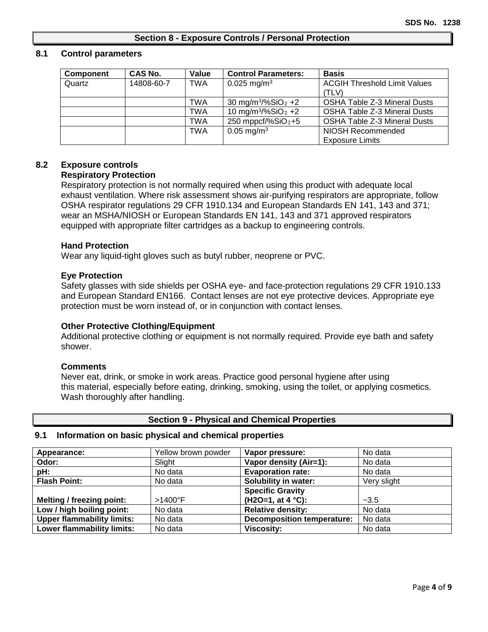## **Section 8 - Exposure Controls / Personal Protection**

#### **8.1 Control parameters**

| Component | CAS No.    | Value      | <b>Control Parameters:</b>                 | <b>Basis</b>                        |
|-----------|------------|------------|--------------------------------------------|-------------------------------------|
| Quartz    | 14808-60-7 | <b>TWA</b> | $0.025 \,\mathrm{mg/m^3}$                  | <b>ACGIH Threshold Limit Values</b> |
|           |            |            |                                            | (TLV)                               |
|           |            | TWA        | 30 mg/m <sup>3</sup> /%SiO <sub>2</sub> +2 | <b>OSHA Table Z-3 Mineral Dusts</b> |
|           |            | TWA        | 10 mg/m <sup>3</sup> /%SiO <sub>2</sub> +2 | <b>OSHA Table Z-3 Mineral Dusts</b> |
|           |            | TWA        | $250$ mppcf/%SiO <sub>2</sub> +5           | OSHA Table Z-3 Mineral Dusts        |
|           |            | <b>TWA</b> | $0.05 \,\mathrm{mg/m^3}$                   | NIOSH Recommended                   |
|           |            |            |                                            | <b>Exposure Limits</b>              |

## **8.2 Exposure controls**

## **Respiratory Protection**

Respiratory protection is not normally required when using this product with adequate local exhaust ventilation. Where risk assessment shows air-purifying respirators are appropriate, follow OSHA respirator regulations 29 CFR 1910.134 and European Standards EN 141, 143 and 371; wear an MSHA/NIOSH or European Standards EN 141, 143 and 371 approved respirators equipped with appropriate filter cartridges as a backup to engineering controls.

## **Hand Protection**

Wear any liquid-tight gloves such as butyl rubber, neoprene or PVC.

## **Eye Protection**

Safety glasses with side shields per OSHA eye- and face-protection regulations 29 CFR 1910.133 and European Standard EN166. Contact lenses are not eye protective devices. Appropriate eye protection must be worn instead of, or in conjunction with contact lenses.

## **Other Protective Clothing/Equipment**

Additional protective clothing or equipment is not normally required. Provide eye bath and safety shower.

#### **Comments**

Never eat, drink, or smoke in work areas. Practice good personal hygiene after using this material, especially before eating, drinking, smoking, using the toilet, or applying cosmetics. Wash thoroughly after handling.

#### **Section 9 - Physical and Chemical Properties**

## **9.1 Information on basic physical and chemical properties**

| Appearance:                       | Yellow brown powder | Vapor pressure:                   | No data     |
|-----------------------------------|---------------------|-----------------------------------|-------------|
| Odor:                             | Slight              | Vapor density (Air=1):            | No data     |
| pH:                               | No data             | <b>Evaporation rate:</b>          | No data     |
| <b>Flash Point:</b>               | No data             | Solubility in water:              | Very slight |
|                                   |                     | <b>Specific Gravity</b>           |             |
| Melting / freezing point:         | $>1400^\circ F$     | $(H2O=1, at 4 °C):$               | $-3.5$      |
| Low / high boiling point:         | No data             | <b>Relative density:</b>          | No data     |
| <b>Upper flammability limits:</b> | No data             | <b>Decomposition temperature:</b> | No data     |
| Lower flammability limits:        | No data             | <b>Viscosity:</b>                 | No data     |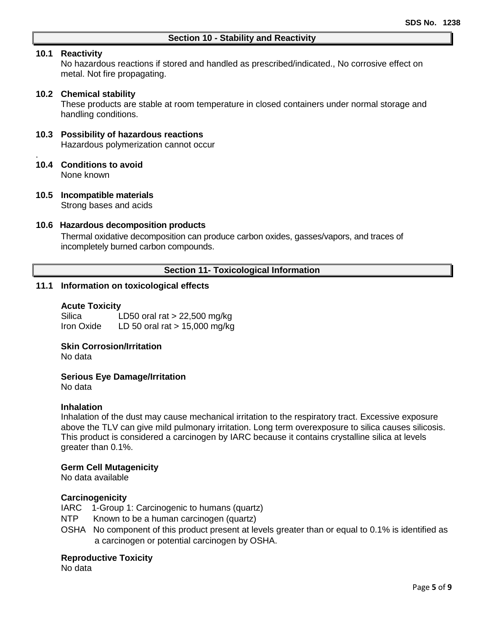## **10.1 Reactivity**

.

No hazardous reactions if stored and handled as prescribed/indicated., No corrosive effect on metal. Not fire propagating.

## **10.2 Chemical stability**

These products are stable at room temperature in closed containers under normal storage and handling conditions.

## **10.3 Possibility of hazardous reactions**

Hazardous polymerization cannot occur

#### **10.4 Conditions to avoid** None known

## **10.5 Incompatible materials** Strong bases and acids

#### **10.6 Hazardous decomposition products**

Thermal oxidative decomposition can produce carbon oxides, gasses/vapors, and traces of incompletely burned carbon compounds.

## **Section 11- Toxicological Information**

## **11.1 Information on toxicological effects**

#### **Acute Toxicity**

Silica LD50 oral rat > 22,500 mg/kg Iron Oxide LD 50 oral rat > 15,000 mg/kg

## **Skin Corrosion/Irritation**

No data

### **Serious Eye Damage/Irritation**

No data

#### **Inhalation**

Inhalation of the dust may cause mechanical irritation to the respiratory tract. Excessive exposure above the TLV can give mild pulmonary irritation. Long term overexposure to silica causes silicosis. This product is considered a carcinogen by IARC because it contains crystalline silica at levels greater than 0.1%.

#### **Germ Cell Mutagenicity**

No data available

## **Carcinogenicity**

IARC 1-Group 1: Carcinogenic to humans (quartz)

NTP Known to be a human carcinogen (quartz)

OSHA No component of this product present at levels greater than or equal to 0.1% is identified as a carcinogen or potential carcinogen by OSHA.

## **Reproductive Toxicity**

No data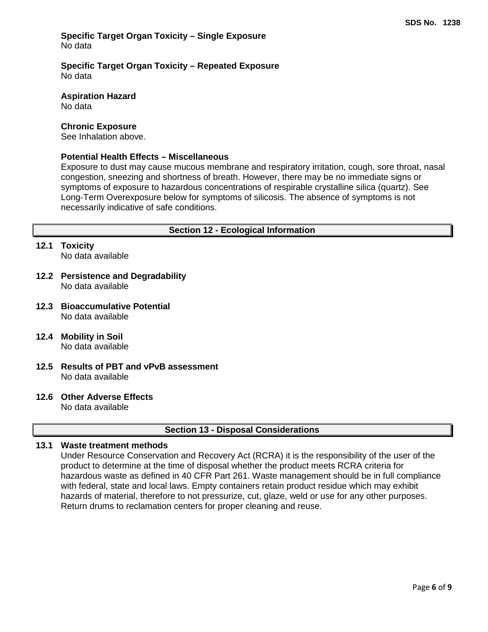## **Specific Target Organ Toxicity – Single Exposure** No data

**Specific Target Organ Toxicity – Repeated Exposure** No data

**Aspiration Hazard** No data

#### **Chronic Exposure**

See Inhalation above.

## **Potential Health Effects – Miscellaneous**

Exposure to dust may cause mucous membrane and respiratory irritation, cough, sore throat, nasal congestion, sneezing and shortness of breath. However, there may be no immediate signs or symptoms of exposure to hazardous concentrations of respirable crystalline silica (quartz). See Long‐Term Overexposure below for symptoms of silicosis. The absence of symptoms is not necessarily indicative of safe conditions.

## **Section 12 - Ecological Information**

## **12.1 Toxicity**

No data available

- **12.2 Persistence and Degradability** No data available
- **12.3 Bioaccumulative Potential** No data available
- **12.4 Mobility in Soil** No data available
- **12.5 Results of PBT and vPvB assessment** No data available
- **12.6 Other Adverse Effects**

No data available

## **Section 13 - Disposal Considerations**

## **13.1 Waste treatment methods**

Under Resource Conservation and Recovery Act (RCRA) it is the responsibility of the user of the product to determine at the time of disposal whether the product meets RCRA criteria for hazardous waste as defined in 40 CFR Part 261. Waste management should be in full compliance with federal, state and local laws. Empty containers retain product residue which may exhibit hazards of material, therefore to not pressurize, cut, glaze, weld or use for any other purposes. Return drums to reclamation centers for proper cleaning and reuse.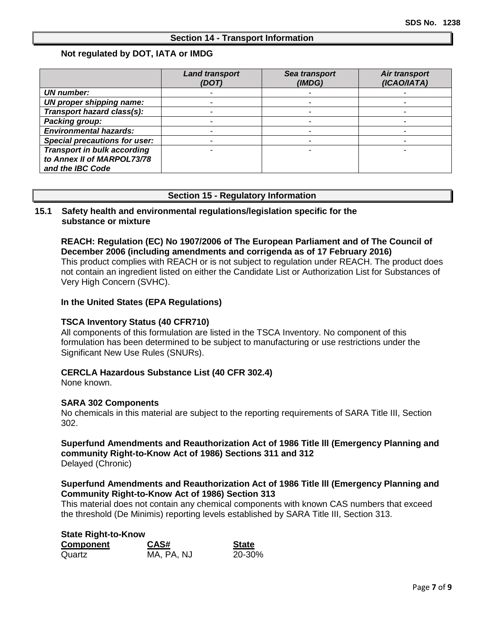## **Section 14 - Transport Information**

## **Not regulated by DOT, IATA or IMDG**

|                                      | <b>Land transport</b><br>(DOT) | Sea transport<br>(IMDG) | Air transport<br>(ICAO/IATA) |
|--------------------------------------|--------------------------------|-------------------------|------------------------------|
| <b>UN number:</b>                    |                                |                         |                              |
| UN proper shipping name:             |                                |                         |                              |
| Transport hazard class(s):           |                                |                         |                              |
| Packing group:                       |                                |                         |                              |
| <b>Environmental hazards:</b>        |                                |                         |                              |
| <b>Special precautions for user:</b> |                                |                         |                              |
| <b>Transport in bulk according</b>   |                                |                         |                              |
| to Annex II of MARPOL73/78           |                                |                         |                              |
| and the IBC Code                     |                                |                         |                              |

## **Section 15 - Regulatory Information**

## **15.1 Safety health and environmental regulations/legislation specific for the substance or mixture**

## **REACH: Regulation (EC) No 1907/2006 of The European Parliament and of The Council of December 2006 (including amendments and corrigenda as of 17 February 2016)**

This product complies with REACH or is not subject to regulation under REACH. The product does not contain an ingredient listed on either the Candidate List or Authorization List for Substances of Very High Concern (SVHC).

## **In the United States (EPA Regulations)**

#### **TSCA Inventory Status (40 CFR710)**

All components of this formulation are listed in the TSCA Inventory. No component of this formulation has been determined to be subject to manufacturing or use restrictions under the Significant New Use Rules (SNURs).

#### **CERCLA Hazardous Substance List (40 CFR 302.4)**

None known.

#### **SARA 302 Components**

No chemicals in this material are subject to the reporting requirements of SARA Title III, Section 302.

## **Superfund Amendments and Reauthorization Act of 1986 Title lll (Emergency Planning and community Right-to-Know Act of 1986) Sections 311 and 312** Delayed (Chronic)

## **Superfund Amendments and Reauthorization Act of 1986 Title lll (Emergency Planning and Community Right-to-Know Act of 1986) Section 313**

This material does not contain any chemical components with known CAS numbers that exceed the threshold (De Minimis) reporting levels established by SARA Title III, Section 313.

| <b>State Right-to-Know</b> |            |              |  |  |
|----------------------------|------------|--------------|--|--|
| Component                  | CAS#       | <b>State</b> |  |  |
| Quartz                     | MA, PA, NJ | 20-30%       |  |  |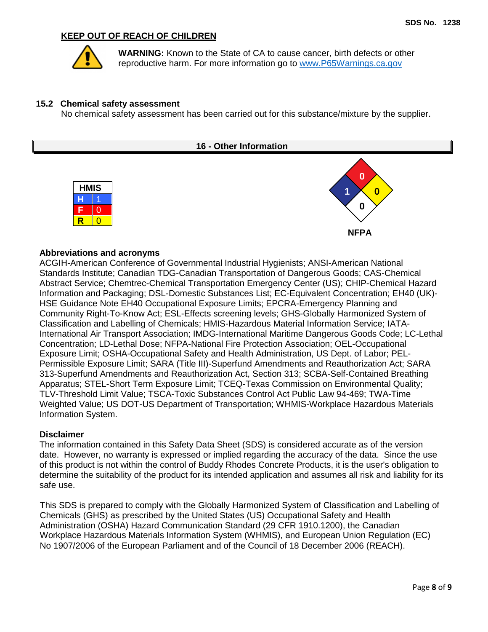## **KEEP OUT OF REACH OF CHILDREN**



**WARNING:** Known to the State of CA to cause cancer, birth defects or other reproductive harm. For more information go to [www.P65Warnings.ca.gov](http://www.p65warnings.ca.gov/)

#### **15.2 Chemical safety assessment**

No chemical safety assessment has been carried out for this substance/mixture by the supplier.



## **Abbreviations and acronyms**

ACGIH-American Conference of Governmental Industrial Hygienists; ANSI-American National Standards Institute; Canadian TDG-Canadian Transportation of Dangerous Goods; CAS-Chemical Abstract Service; Chemtrec-Chemical Transportation Emergency Center (US); CHIP-Chemical Hazard Information and Packaging; DSL-Domestic Substances List; EC-Equivalent Concentration; EH40 (UK)- HSE Guidance Note EH40 Occupational Exposure Limits; EPCRA-Emergency Planning and Community Right-To-Know Act; ESL-Effects screening levels; GHS-Globally Harmonized System of Classification and Labelling of Chemicals; HMIS-Hazardous Material Information Service; IATA-International Air Transport Association; IMDG-International Maritime Dangerous Goods Code; LC-Lethal Concentration; LD-Lethal Dose; NFPA-National Fire Protection Association; OEL-Occupational Exposure Limit; OSHA-Occupational Safety and Health Administration, US Dept. of Labor; PEL-Permissible Exposure Limit; SARA (Title III)-Superfund Amendments and Reauthorization Act; SARA 313-Superfund Amendments and Reauthorization Act, Section 313; SCBA-Self-Contained Breathing Apparatus; STEL-Short Term Exposure Limit; TCEQ-Texas Commission on Environmental Quality; TLV-Threshold Limit Value; TSCA-Toxic Substances Control Act Public Law 94-469; TWA-Time Weighted Value; US DOT-US Department of Transportation; WHMIS-Workplace Hazardous Materials Information System.

#### **Disclaimer**

The information contained in this Safety Data Sheet (SDS) is considered accurate as of the version date. However, no warranty is expressed or implied regarding the accuracy of the data. Since the use of this product is not within the control of Buddy Rhodes Concrete Products, it is the user's obligation to determine the suitability of the product for its intended application and assumes all risk and liability for its safe use.

This SDS is prepared to comply with the Globally Harmonized System of Classification and Labelling of Chemicals (GHS) as prescribed by the United States (US) Occupational Safety and Health Administration (OSHA) Hazard Communication Standard (29 CFR 1910.1200), the Canadian Workplace Hazardous Materials Information System (WHMIS), and European Union Regulation (EC) No 1907/2006 of the European Parliament and of the Council of 18 December 2006 (REACH).